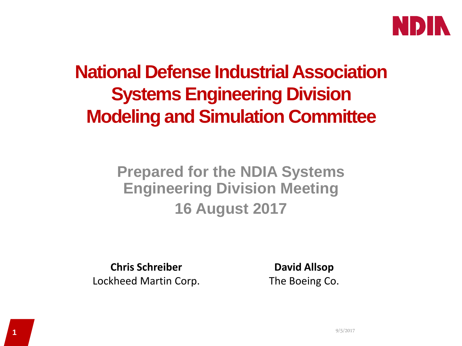

## **National Defense Industrial Association Systems Engineering Division Modeling and Simulation Committee**

#### **Prepared for the NDIA Systems Engineering Division Meeting 16 August 2017**

**Chris Schreiber** Lockheed Martin Corp.

**David Allsop** The Boeing Co.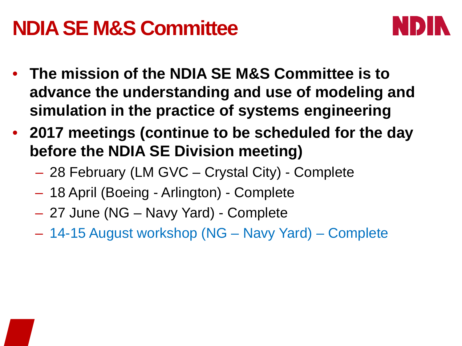## **NDIA SE M&S Committee**



- **The mission of the NDIA SE M&S Committee is to advance the understanding and use of modeling and simulation in the practice of systems engineering**
- **2017 meetings (continue to be scheduled for the day before the NDIA SE Division meeting)**
	- 28 February (LM GVC Crystal City) Complete
	- 18 April (Boeing Arlington) Complete
	- 27 June (NG Navy Yard) Complete
	- 14-15 August workshop (NG Navy Yard) Complete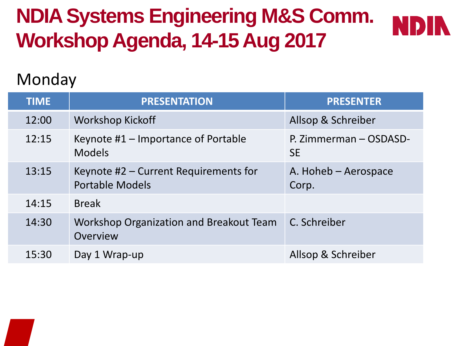# **NDIA Systems Engineering M&S Comm. Workshop Agenda, 14-15 Aug 2017**



#### Monday

| <b>TIME</b> | <b>PRESENTATION</b>                                             | <b>PRESENTER</b>                    |
|-------------|-----------------------------------------------------------------|-------------------------------------|
| 12:00       | <b>Workshop Kickoff</b>                                         | Allsop & Schreiber                  |
| 12:15       | Keynote #1 - Importance of Portable<br><b>Models</b>            | P. Zimmerman - OSDASD-<br><b>SE</b> |
| 13:15       | Keynote #2 – Current Requirements for<br><b>Portable Models</b> | A. Hoheb - Aerospace<br>Corp.       |
| 14:15       | <b>Break</b>                                                    |                                     |
| 14:30       | <b>Workshop Organization and Breakout Team</b><br>Overview      | C. Schreiber                        |
| 15:30       | Day 1 Wrap-up                                                   | Allsop & Schreiber                  |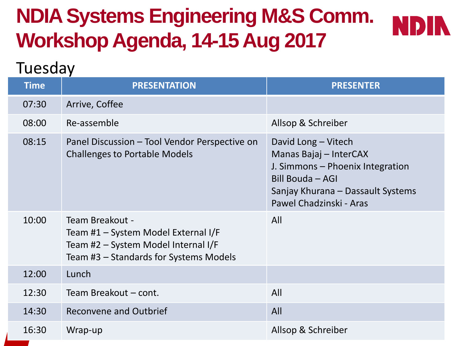# **NDIA Systems Engineering M&S Comm. Workshop Agenda, 14-15 Aug 2017**



#### Tuesday

| <b>Time</b> | <b>PRESENTATION</b>                                                                                                                     | <b>PRESENTER</b>                                                                                                                                                      |
|-------------|-----------------------------------------------------------------------------------------------------------------------------------------|-----------------------------------------------------------------------------------------------------------------------------------------------------------------------|
| 07:30       | Arrive, Coffee                                                                                                                          |                                                                                                                                                                       |
| 08:00       | Re-assemble                                                                                                                             | Allsop & Schreiber                                                                                                                                                    |
| 08:15       | Panel Discussion – Tool Vendor Perspective on<br><b>Challenges to Portable Models</b>                                                   | David Long – Vitech<br>Manas Bajaj - InterCAX<br>J. Simmons - Phoenix Integration<br>Bill Bouda - AGI<br>Sanjay Khurana – Dassault Systems<br>Pawel Chadzinski - Aras |
| 10:00       | Team Breakout -<br>Team #1 - System Model External I/F<br>Team #2 - System Model Internal I/F<br>Team #3 - Standards for Systems Models | All                                                                                                                                                                   |
| 12:00       | Lunch                                                                                                                                   |                                                                                                                                                                       |
| 12:30       | Team Breakout - cont.                                                                                                                   | All                                                                                                                                                                   |
| 14:30       | Reconvene and Outbrief                                                                                                                  | All                                                                                                                                                                   |
| 16:30       | Wrap-up                                                                                                                                 | Allsop & Schreiber                                                                                                                                                    |